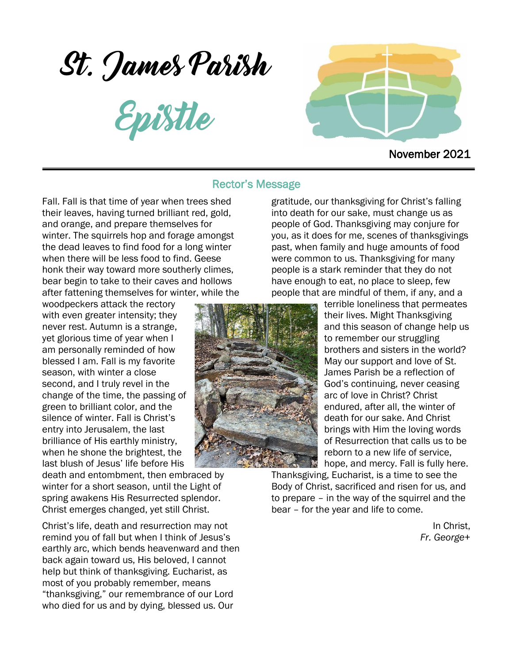St. James Parish

Epistle



November 2021

### Rector's Message

Fall. Fall is that time of year when trees shed their leaves, having turned brilliant red, gold, and orange, and prepare themselves for winter. The squirrels hop and forage amongst the dead leaves to find food for a long winter when there will be less food to find. Geese honk their way toward more southerly climes, bear begin to take to their caves and hollows after fattening themselves for winter, while the

woodpeckers attack the rectory with even greater intensity; they never rest. Autumn is a strange, yet glorious time of year when I am personally reminded of how blessed I am. Fall is my favorite season, with winter a close second, and I truly revel in the change of the time, the passing of green to brilliant color, and the silence of winter. Fall is Christ's entry into Jerusalem, the last brilliance of His earthly ministry, when he shone the brightest, the last blush of Jesus' life before His

death and entombment, then embraced by winter for a short season, until the Light of spring awakens His Resurrected splendor. Christ emerges changed, yet still Christ.

Christ's life, death and resurrection may not remind you of fall but when I think of Jesus's earthly arc, which bends heavenward and then back again toward us, His beloved, I cannot help but think of thanksgiving. Eucharist, as most of you probably remember, means "thanksgiving," our remembrance of our Lord who died for us and by dying, blessed us. Our

gratitude, our thanksgiving for Christ's falling into death for our sake, must change us as people of God. Thanksgiving may conjure for you, as it does for me, scenes of thanksgivings past, when family and huge amounts of food were common to us. Thanksgiving for many people is a stark reminder that they do not have enough to eat, no place to sleep, few people that are mindful of them, if any, and a



terrible loneliness that permeates their lives. Might Thanksgiving and this season of change help us to remember our struggling brothers and sisters in the world? May our support and love of St. James Parish be a reflection of God's continuing, never ceasing arc of love in Christ? Christ endured, after all, the winter of death for our sake. And Christ brings with Him the loving words of Resurrection that calls us to be reborn to a new life of service, hope, and mercy. Fall is fully here.

Thanksgiving, Eucharist, is a time to see the Body of Christ, sacrificed and risen for us, and to prepare – in the way of the squirrel and the bear – for the year and life to come.

> In Christ, *Fr. George*+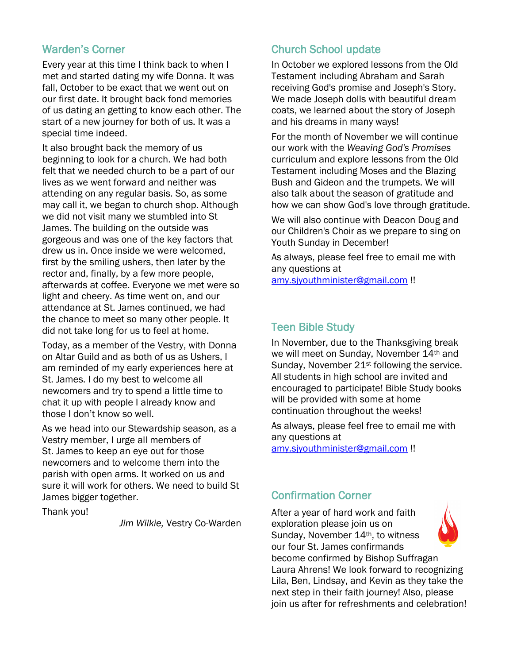## Warden's Corner

Every year at this time I think back to when I met and started dating my wife Donna. It was fall, October to be exact that we went out on our first date. It brought back fond memories of us dating an getting to know each other. The start of a new journey for both of us. It was a special time indeed.

It also brought back the memory of us beginning to look for a church. We had both felt that we needed church to be a part of our lives as we went forward and neither was attending on any regular basis. So, as some may call it, we began to church shop. Although we did not visit many we stumbled into St James. The building on the outside was gorgeous and was one of the key factors that drew us in. Once inside we were welcomed, first by the smiling ushers, then later by the rector and, finally, by a few more people, afterwards at coffee. Everyone we met were so light and cheery. As time went on, and our attendance at St. James continued, we had the chance to meet so many other people. It did not take long for us to feel at home.

Today, as a member of the Vestry, with Donna on Altar Guild and as both of us as Ushers, I am reminded of my early experiences here at St. James. I do my best to welcome all newcomers and try to spend a little time to chat it up with people I already know and those I don't know so well.

As we head into our Stewardship season, as a Vestry member, I urge all members of St. James to keep an eye out for those newcomers and to welcome them into the parish with open arms. It worked on us and sure it will work for others. We need to build St James bigger together.

Thank you!

*Jim Wilkie,* Vestry Co-Warden

# Church School update

In October we explored lessons from the Old Testament including Abraham and Sarah receiving God's promise and Joseph's Story. We made Joseph dolls with beautiful dream coats, we learned about the story of Joseph and his dreams in many ways!

For the month of November we will continue our work with the *Weaving God's Promises* curriculum and explore lessons from the Old Testament including Moses and the Blazing Bush and Gideon and the trumpets. We will also talk about the season of gratitude and how we can show God's love through gratitude.

We will also continue with Deacon Doug and our Children's Choir as we prepare to sing on Youth Sunday in December!

As always, please feel free to email me with any questions at [amy.sjyouthminister@gmail.com](mailto:amy.sjyouthminister@gmail.com) !!

# Teen Bible Study

In November, due to the Thanksgiving break we will meet on Sunday, November 14<sup>th</sup> and Sunday, November 21<sup>st</sup> following the service. All students in high school are invited and encouraged to participate! Bible Study books will be provided with some at home continuation throughout the weeks!

As always, please feel free to email me with any questions at [amy.sjyouthminister@gmail.com](mailto:amy.sjyouthminister@gmail.com) !!

# Confirmation Corner

After a year of hard work and faith exploration please join us on Sunday, November 14th, to witness our four St. James confirmands become confirmed by Bishop Suffragan Laura Ahrens! We look forward to recognizing Lila, Ben, Lindsay, and Kevin as they take the next step in their faith journey! Also, please join us after for refreshments and celebration!

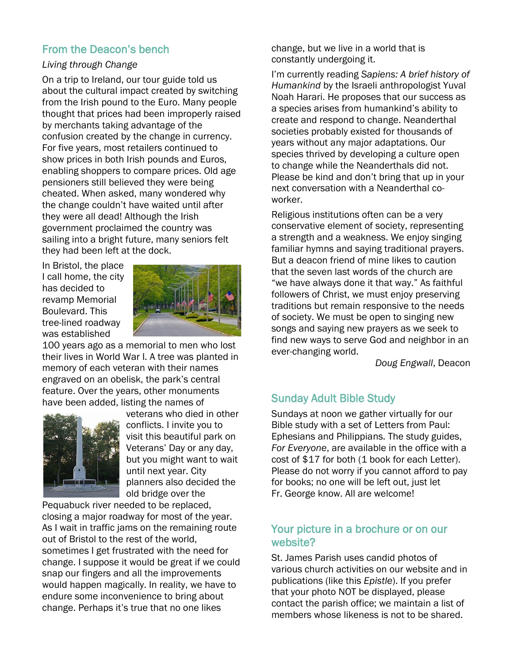## From the Deacon's bench

### *Living through Change*

On a trip to Ireland, our tour guide told us about the cultural impact created by switching from the Irish pound to the Euro. Many people thought that prices had been improperly raised by merchants taking advantage of the confusion created by the change in currency. For five years, most retailers continued to show prices in both Irish pounds and Euros, enabling shoppers to compare prices. Old age pensioners still believed they were being cheated. When asked, many wondered why the change couldn't have waited until after they were all dead! Although the Irish government proclaimed the country was sailing into a bright future, many seniors felt they had been left at the dock.

In Bristol, the place I call home, the city has decided to revamp Memorial Boulevard. This tree-lined roadway was established



100 years ago as a memorial to men who lost their lives in World War I. A tree was planted in memory of each veteran with their names engraved on an obelisk, the park's central feature. Over the years, other monuments have been added, listing the names of



veterans who died in other conflicts. I invite you to visit this beautiful park on Veterans' Day or any day, but you might want to wait until next year. City planners also decided the old bridge over the

Pequabuck river needed to be replaced, closing a major roadway for most of the year. As I wait in traffic jams on the remaining route out of Bristol to the rest of the world, sometimes I get frustrated with the need for change. I suppose it would be great if we could snap our fingers and all the improvements would happen magically. In reality, we have to endure some inconvenience to bring about change. Perhaps it's true that no one likes

change, but we live in a world that is constantly undergoing it.

I'm currently reading *Sapiens: A brief history of Humankind* by the Israeli anthropologist Yuval Noah Harari. He proposes that our success as a species arises from humankind's ability to create and respond to change. Neanderthal societies probably existed for thousands of years without any major adaptations. Our species thrived by developing a culture open to change while the Neanderthals did not. Please be kind and don't bring that up in your next conversation with a Neanderthal coworker.

Religious institutions often can be a very conservative element of society, representing a strength and a weakness. We enjoy singing familiar hymns and saying traditional prayers. But a deacon friend of mine likes to caution that the seven last words of the church are "we have always done it that way." As faithful followers of Christ, we must enjoy preserving traditions but remain responsive to the needs of society. We must be open to singing new songs and saying new prayers as we seek to find new ways to serve God and neighbor in an ever-changing world.

*Doug Engwall*, Deacon

# Sunday Adult Bible Study

Sundays at noon we gather virtually for our Bible study with a set of Letters from Paul: Ephesians and Philippians. The study guides, *For Everyone*, are available in the office with a cost of \$17 for both (1 book for each Letter). Please do not worry if you cannot afford to pay for books; no one will be left out, just let Fr. George know. All are welcome!

# Your picture in a brochure or on our website?

St. James Parish uses candid photos of various church activities on our website and in publications (like this *Epistle*). If you prefer that your photo NOT be displayed, please contact the parish office; we maintain a list of members whose likeness is not to be shared.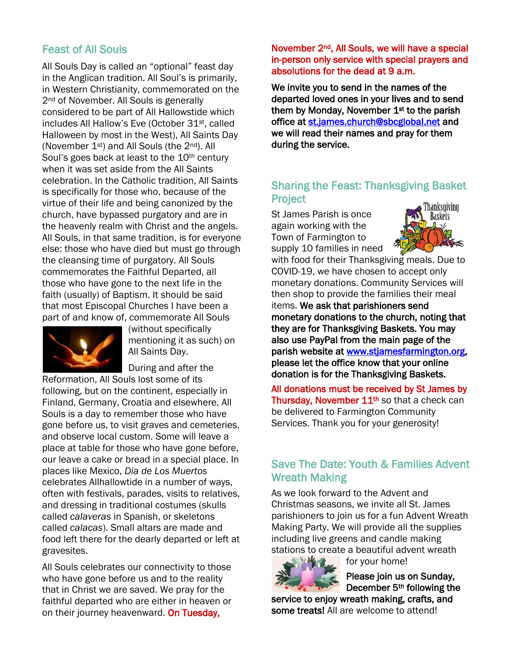# Feast of All Souls

All Souls Day is called an "optional" feast day in the Anglican tradition. All Soul's is primarily, in Western Christianity, commemorated on the 2<sup>nd</sup> of November. All Souls is generally considered to be part of All Hallowstide which includes All Hallow's Eve (October 31st, called Halloween by most in the West), All Saints Day (November 1st) and All Souls (the 2nd). All Soul's goes back at least to the 10<sup>th</sup> century when it was set aside from the All Saints celebration. In the Catholic tradition, All Saints is specifically for those who, because of the virtue of their life and being canonized by the church, have bypassed purgatory and are in the heavenly realm with Christ and the angels. All Souls, in that same tradition, is for everyone else: those who have died but must go through the cleansing time of purgatory. All Souls commemorates the Faithful Departed, all those who have gone to the next life in the faith (usually) of Baptism. It should be said that most Episcopal Churches I have been a part of and know of, commemorate All Souls



(without specifically mentioning it as such) on All Saints Day.

During and after the

Reformation, All Souls lost some of its following, but on the continent, especially in Finland, Germany, Croatia and elsewhere, All Souls is a day to remember those who have gone before us, to visit graves and cemeteries, and observe local custom. Some will leave a place at table for those who have gone before, our leave a cake or bread in a special place. In places like Mexico, *Dia de Los Muertos* celebrates Allhallowtide in a number of ways, often with festivals, parades, visits to relatives, and dressing in traditional costumes (skulls called *calaveras* in Spanish, or skeletons called *calacas*). Small altars are made and food left there for the dearly departed or left at gravesites.

All Souls celebrates our connectivity to those who have gone before us and to the reality that in Christ we are saved. We pray for the faithful departed who are either in heaven or on their journey heavenward. On Tuesday,

#### November 2nd, All Souls, we will have a special in-person only service with special prayers and absolutions for the dead at 9 a.m.

We invite you to send in the names of the departed loved ones in your lives and to send them by Monday, November 1<sup>st</sup> to the parish office at [st.james.church@sbcglobal.net](mailto:st.james.church@sbcglobal.net) and we will read their names and pray for them during the service.

# Sharing the Feast: Thanksgiving Basket **Project**

St James Parish is once again working with the Town of Farmington to supply 10 families in need



with food for their Thanksgiving meals. Due to COVID-19, we have chosen to accept only monetary donations. Community Services will then shop to provide the families their meal items. We ask that parishioners send monetary donations to the church, noting that they are for Thanksgiving Baskets. You may also use PayPal from the main page of the parish website at [www.stjamesfarmington.org,](http://www.stjamesfarmington.org/) please let the office know that your online donation is for the Thanksgiving Baskets.

All donations must be received by St James by Thursday, November 11<sup>th</sup> so that a check can be delivered to Farmington Community Services. Thank you for your generosity!

# Save The Date: Youth & Families Advent Wreath Making

As we look forward to the Advent and Christmas seasons, we invite all St. James parishioners to join us for a fun Advent Wreath Making Party. We will provide all the supplies including live greens and candle making stations to create a beautiful advent wreath



for your home!

Please join us on Sunday, December 5th following the

service to enjoy wreath making, crafts, and some treats! All are welcome to attend!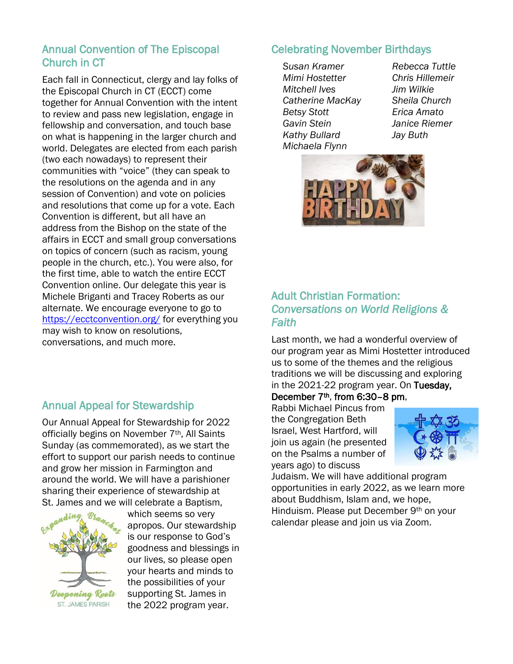## Annual Convention of The Episcopal Church in CT

Each fall in Connecticut, clergy and lay folks of the Episcopal Church in CT (ECCT) come together for Annual Convention with the intent to review and pass new legislation, engage in fellowship and conversation, and touch base on what is happening in the larger church and world. Delegates are elected from each parish (two each nowadays) to represent their communities with "voice" (they can speak to the resolutions on the agenda and in any session of Convention) and vote on policies and resolutions that come up for a vote. Each Convention is different, but all have an address from the Bishop on the state of the affairs in ECCT and small group conversations on topics of concern (such as racism, young people in the church, etc.). You were also, for the first time, able to watch the entire ECCT Convention online. Our delegate this year is Michele Briganti and Tracey Roberts as our alternate. We encourage everyone to go to <https://ecctconvention.org/> for everything you may wish to know on resolutions, conversations, and much more.

# Annual Appeal for Stewardship

Our Annual Appeal for Stewardship for 2022 officially begins on November 7<sup>th</sup>, All Saints Sunday (as commemorated), as we start the effort to support our parish needs to continue and grow her mission in Farmington and around the world. We will have a parishioner sharing their experience of stewardship at St. James and we will celebrate a Baptism,



which seems so very apropos. Our stewardship is our response to God's goodness and blessings in our lives, so please open your hearts and minds to the possibilities of your supporting St. James in the 2022 program year.

## Celebrating November Birthdays

*Susan Kramer Rebecca Tuttle Mimi Hostetter Chris Hillemeir Mitchell Ives Jim Wilkie Catherine MacKay Sheila Church Betsy Stott Erica Amato Gavin Stein Janice Riemer Kathy Bullard Jay Buth Michaela Flynn*



# Adult Christian Formation: *Conversations on World Religions & Faith*

Last month, we had a wonderful overview of our program year as Mimi Hostetter introduced us to some of the themes and the religious traditions we will be discussing and exploring in the 2021-22 program year. On Tuesday,

### December 7th, from 6:30–8 pm,

Rabbi Michael Pincus from the Congregation Beth Israel, West Hartford, will join us again (he presented on the Psalms a number of years ago) to discuss



Judaism. We will have additional program opportunities in early 2022, as we learn more about Buddhism, Islam and, we hope, Hinduism. Please put December 9<sup>th</sup> on your calendar please and join us via Zoom.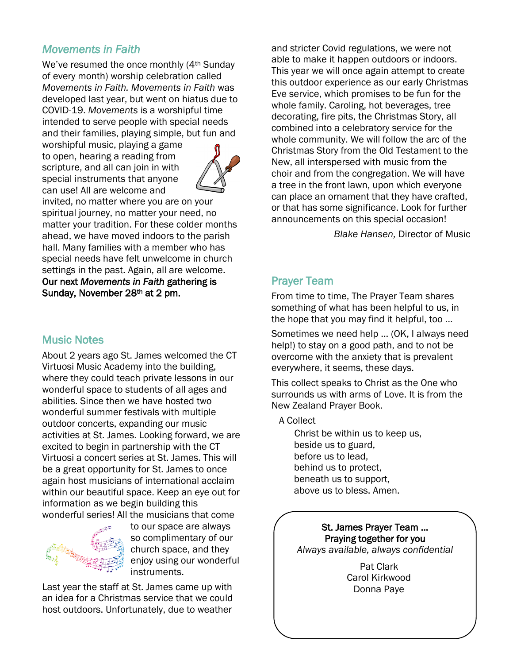# *Movements in Faith*

We've resumed the once monthly (4<sup>th</sup> Sunday of every month) worship celebration called *Movements in Faith. Movements in Faith* was developed last year, but went on hiatus due to COVID-19. *Movements* is a worshipful time intended to serve people with special needs and their families, playing simple, but fun and

worshipful music, playing a game to open, hearing a reading from scripture, and all can join in with special instruments that anyone can use! All are welcome and



invited, no matter where you are on your spiritual journey, no matter your need, no matter your tradition. For these colder months ahead, we have moved indoors to the parish hall. Many families with a member who has special needs have felt unwelcome in church settings in the past. Again, all are welcome. Our next *Movements in Faith* gathering is Sunday, November 28th at 2 pm.

# Music Notes

About 2 years ago St. James welcomed the CT Virtuosi Music Academy into the building, where they could teach private lessons in our wonderful space to students of all ages and abilities. Since then we have hosted two wonderful summer festivals with multiple outdoor concerts, expanding our music activities at St. James. Looking forward, we are excited to begin in partnership with the CT Virtuosi a concert series at St. James. This will be a great opportunity for St. James to once again host musicians of international acclaim within our beautiful space. Keep an eye out for information as we begin building this wonderful series! All the musicians that come



to our space are always so complimentary of our church space, and they enjoy using our wonderful instruments.

Last year the staff at St. James came up with an idea for a Christmas service that we could host outdoors. Unfortunately, due to weather

and stricter Covid regulations, we were not able to make it happen outdoors or indoors. This year we will once again attempt to create this outdoor experience as our early Christmas Eve service, which promises to be fun for the whole family. Caroling, hot beverages, tree decorating, fire pits, the Christmas Story, all combined into a celebratory service for the whole community. We will follow the arc of the Christmas Story from the Old Testament to the New, all interspersed with music from the choir and from the congregation. We will have a tree in the front lawn, upon which everyone can place an ornament that they have crafted, or that has some significance. Look for further announcements on this special occasion!

*Blake Hansen,* Director of Music

# Prayer Team

From time to time, The Prayer Team shares something of what has been helpful to us, in the hope that you may find it helpful, too …

Sometimes we need help ... (OK, I always need help!) to stay on a good path, and to not be overcome with the anxiety that is prevalent everywhere, it seems, these days.

This collect speaks to Christ as the One who surrounds us with arms of Love. It is from the New Zealand Prayer Book.

A Collect

Christ be within us to keep us, beside us to guard, before us to lead, behind us to protect, beneath us to support, above us to bless. Amen.

St. James Prayer Team … Praying together for you *Always available, always confidential*

> Pat Clark Carol Kirkwood Donna Paye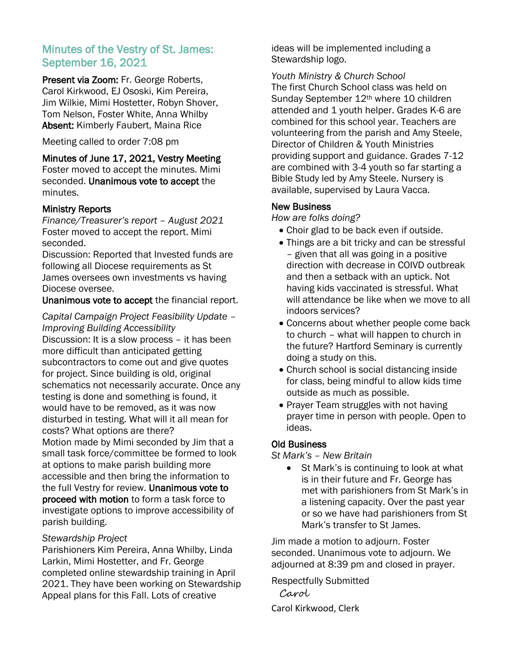### Minutes of the Vestry of St. James: September 16, 2021

Present via Zoom: Fr. George Roberts, Carol Kirkwood, EJ Ososki, Kim Pereira, Jim Wilkie, Mimi Hostetter, Robyn Shover, Tom Nelson, Foster White, Anna Whilby Absent: Kimberly Faubert, Maina Rice

Meeting called to order 7:08 pm

Minutes of June 17, 2021, Vestry Meeting Foster moved to accept the minutes. Mimi

seconded. Unanimous vote to accept the minutes.

#### Ministry Reports

*Finance/Treasurer's report – August 2021* Foster moved to accept the report. Mimi seconded.

Discussion: Reported that Invested funds are following all Diocese requirements as St James oversees own investments vs having Diocese oversee.

Unanimous vote to accept the financial report.

#### *Capital Campaign Project Feasibility Update – Improving Building Accessibility*

Discussion: It is a slow process – it has been more difficult than anticipated getting subcontractors to come out and give quotes for project. Since building is old, original schematics not necessarily accurate. Once any testing is done and something is found, it would have to be removed, as it was now disturbed in testing. What will it all mean for costs? What options are there? Motion made by Mimi seconded by Jim that a small task force/committee be formed to look at options to make parish building more accessible and then bring the information to the full Vestry for review. Unanimous vote to proceed with motion to form a task force to investigate options to improve accessibility of parish building.

#### *Stewardship Project*

Parishioners Kim Pereira, Anna Whilby, Linda Larkin, Mimi Hostetter, and Fr. George completed online stewardship training in April 2021. They have been working on Stewardship Appeal plans for this Fall. Lots of creative

ideas will be implemented including a Stewardship logo.

*Youth Ministry & Church School*  The first Church School class was held on Sunday September 12<sup>th</sup> where 10 children attended and 1 youth helper. Grades K-6 are combined for this school year. Teachers are volunteering from the parish and Amy Steele, Director of Children & Youth Ministries providing support and guidance. Grades 7-12 are combined with 3-4 youth so far starting a Bible Study led by Amy Steele. Nursery is available, supervised by Laura Vacca.

#### New Business

*How are folks doing?*

- Choir glad to be back even if outside.
- Things are a bit tricky and can be stressful – given that all was going in a positive direction with decrease in COIVD outbreak and then a setback with an uptick. Not having kids vaccinated is stressful. What will attendance be like when we move to all indoors services?
- Concerns about whether people come back to church – what will happen to church in the future? Hartford Seminary is currently doing a study on this.
- Church school is social distancing inside for class, being mindful to allow kids time outside as much as possible.
- Prayer Team struggles with not having prayer time in person with people. Open to ideas.

#### Old Business

*St Mark's – New Britain* 

• St Mark's is continuing to look at what is in their future and Fr. George has met with parishioners from St Mark's in a listening capacity. Over the past year or so we have had parishioners from St Mark's transfer to St James.

Jim made a motion to adjourn. Foster seconded. Unanimous vote to adjourn. We adjourned at 8:39 pm and closed in prayer.

Respectfully Submitted

 Carol Carol Kirkwood, Clerk